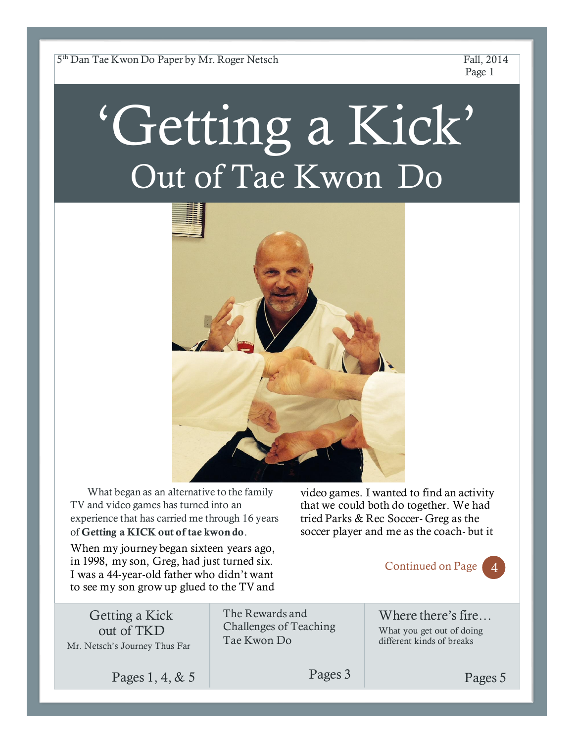5 th Dan Tae Kwon Do Paper by Mr. Roger Netsch Fall, 2014

Page 1

# 'Getting a Kick' Out of Tae Kwon Do



What began as an alternative to the family TV and video games has turned into an experience that has carried me through 16 years of **Getting a KICK out of tae kwon do**.

video games. I wanted to find an activity that we could both do together. We had tried Parks & Rec Soccer- Greg as the soccer player and me as the coach- but it

When my journey began sixteen years ago, in 1998, my son, Greg, had just turned six. I was a 44-year-old father who didn't want to see my son grow up glued to the TV and

Continued on Page 4

Where there's fire… What you get out of doing different kinds of breaks



Getting a Kick out of TKD Mr. Netsch's Journey Thus Far

Pages 1, 4, & 5

The Rewards and Challenges of Teaching Tae Kwon Do

Pages 3

Pages 5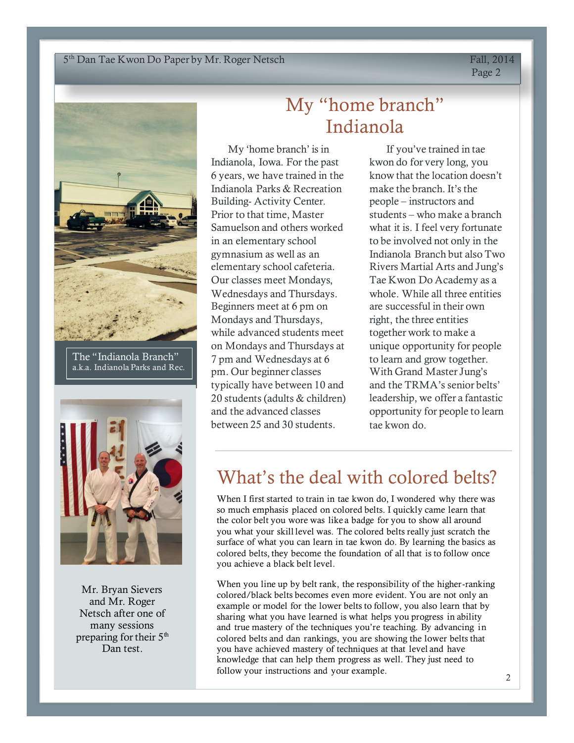#### Lorem Internatives Dompton Systems 2016. The contract of the contract of the contract of the contract of the contract of the contract of the contract of the contract of the contract of the contract of the contract of the c 5<sup>th</sup> Dan Tae Kwon Do Paper by Mr. Roger Netsch Fall, 2014

Page 2



The "Indianola Branch" a.k.a. Indianola Parks and Rec.



Mr. Bryan Sievers and Mr. Roger Netsch after one of many sessions preparing for their  $5<sup>th</sup>$ Dan test.

# My "home branch" Indianola

My 'home branch' is in Indianola, Iowa. For the past 6 years, we have trained in the Indianola Parks & Recreation Building- Activity Center. Prior to that time, Master Samuelson and others worked in an elementary school gymnasium as well as an elementary school cafeteria. Our classes meet Mondays, Wednesdays and Thursdays. Beginners meet at 6 pm on Mondays and Thursdays, while advanced students meet on Mondays and Thursdays at 7 pm and Wednesdays at 6 pm. Our beginner classes typically have between 10 and 20 students (adults & children) and the advanced classes between 25 and 30 students.

If you've trained in tae kwon do for very long, you know that the location doesn't make the branch. It's the people – instructors and students – who make a branch what it is. I feel very fortunate to be involved not only in the Indianola Branch but also Two Rivers Martial Arts and Jung's Tae Kwon Do Academy as a whole. While all three entities are successful in their own right, the three entities together work to make a unique opportunity for people to learn and grow together. With Grand Master Jung's and the TRMA's senior belts' leadership, we offer a fantastic opportunity for people to learn tae kwon do.

## What's the deal with colored belts?

When I first started to train in tae kwon do, I wondered why there was so much emphasis placed on colored belts. I quickly came learn that the color belt you wore was like a badge for you to show all around you what your skill level was. The colored belts really just scratch the surface of what you can learn in tae kwon do. By learning the basics as colored belts, they become the foundation of all that is to follow once you achieve a black belt level.

When you line up by belt rank, the responsibility of the higher-ranking colored/black belts becomes even more evident. You are not only an example or model for the lower belts to follow, you also learn that by sharing what you have learned is what helps you progress in ability and true mastery of the techniques you're teaching. By advancing in colored belts and dan rankings, you are showing the lower belts that you have achieved mastery of techniques at that level and have knowledge that can help them progress as well. They just need to follow your instructions and your example.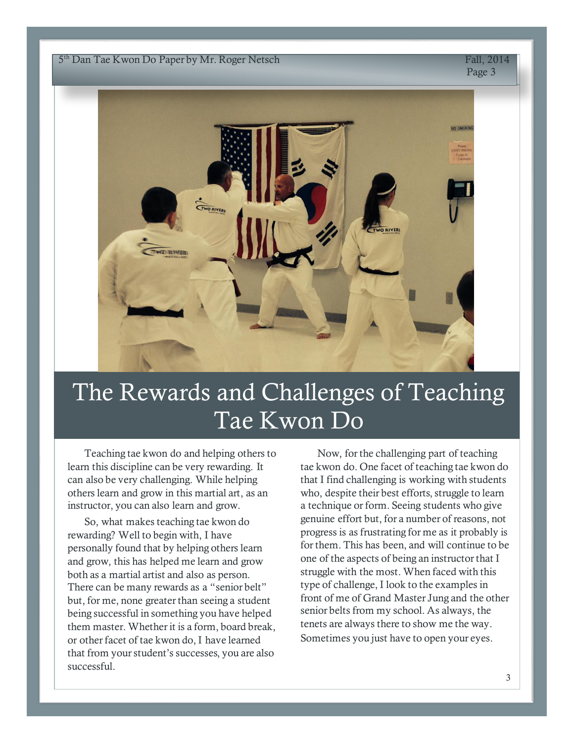$L_{\text{un}}$  Lucretian Dollaptic function dependent control  $L_{\text{un}}$ 5<sup>th</sup> Dan Tae Kwon Do Paper by Mr. Roger Netsch Fall, 2014

Page 3



# The Rewards and Challenges of Teaching Tae Kwon Do

Teaching tae kwon do and helping others to learn this discipline can be very rewarding. It can also be very challenging. While helping others learn and grow in this martial art, as an instructor, you can also learn and grow.

So, what makes teaching tae kwon do rewarding? Well to begin with, I have personally found that by helping others learn and grow, this has helped me learn and grow both as a martial artist and also as person. There can be many rewards as a "senior belt" but, for me, none greater than seeing a student being successful in something you have helped them master. Whether it is a form, board break, or other facet of tae kwon do, I have learned that from your student's successes, you are also successful.

Now, for the challenging part of teaching tae kwon do. One facet of teaching tae kwon do that I find challenging is working with students who, despite their best efforts, struggle to learn a technique or form. Seeing students who give genuine effort but, for a number of reasons, not progress is as frustrating for me as it probably is for them. This has been, and will continue to be one of the aspects of being an instructor that I struggle with the most. When faced with this type of challenge, I look to the examples in front of me of Grand Master Jung and the other senior belts from my school. As always, the tenets are always there to show me the way. Sometimes you just have to open your eyes.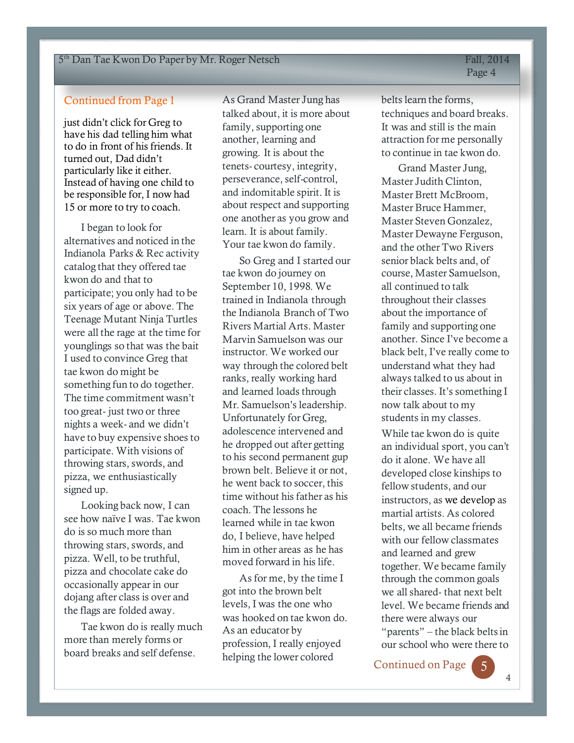### Continued from Page 1

just didn't click for Greg to have his dad telling him what to do in front of his friends. It turned out, Dad didn't particularly like it either. Instead of having one child to be responsible for, I now had 15 or more to try to coach.

I began to look for alternatives and noticed in the Indianola Parks & Rec activity catalog that they offered tae kwon do and that to participate; you only had to be six years of age or above. The Teenage Mutant Ninja Turtles were all the rage at the time for younglings so that was the bait I used to convince Greg that tae kwon do might be something fun to do together. The time commitment wasn't too great- just two or three nights a week- and we didn't have to buy expensive shoes to participate. With visions of throwing stars, swords, and pizza, we enthusiastically signed up.

Looking back now, I can see how naïve I was. Tae kwon do is so much more than throwing stars, swords, and pizza. Well, to be truthful, pizza and chocolate cake do occasionally appear in our dojang after class is over and the flags are folded away.

Tae kwon do is really much more than merely forms or board breaks and self defense.

As Grand Master Jung has talked about, it is more about family, supporting one another, learning and growing. It is about the tenets- courtesy, integrity, perseverance, self-control, and indomitable spirit. It is about respect and supporting one another as you grow and learn. It is about family. Your tae kwon do family.

So Greg and I started our tae kwon do journey on September 10, 1998. We trained in Indianola through the Indianola Branch of Two Rivers Martial Arts. Master Marvin Samuelson was our instructor. We worked our way through the colored belt ranks, really working hard and learned loads through Mr. Samuelson's leadership. Unfortunately for Greg, adolescence intervened and he dropped out after getting to his second permanent gup brown belt. Believe it or not, he went back to soccer, this time without his father as his coach. The lessons he learned while in tae kwon do, I believe, have helped him in other areas as he has moved forward in his life.

As for me, by the time I got into the brown belt levels, I was the one who was hooked on tae kwon do. As an educator by profession, I really enjoyed helping the lower colored

belts learn the forms, techniques and board breaks. It was and still is the main attraction for me personally to continue in tae kwon do.

Grand Master Jung, Master Judith Clinton, Master Brett McBroom, Master Bruce Hammer, Master Steven Gonzalez, Master Dewayne Ferguson, and the other Two Rivers senior black belts and, of course, Master Samuelson, all continued to talk throughout their classes about the importance of family and supporting one another. Since I've become a black belt, I've really come to understand what they had always talked to us about in their classes. It's something I now talk about to my students in my classes.

While tae kwon do is quite an individual sport, you can't do it alone. We have all developed close kinships to fellow students, and our instructors, as we develop as martial artists. As colored belts, we all became friends with our fellow classmates and learned and grew together. We became family through the common goals we all shared- that next belt level. We became friends and there were always our "parents" – the black belts in our school who were there to

Continued on Page 5